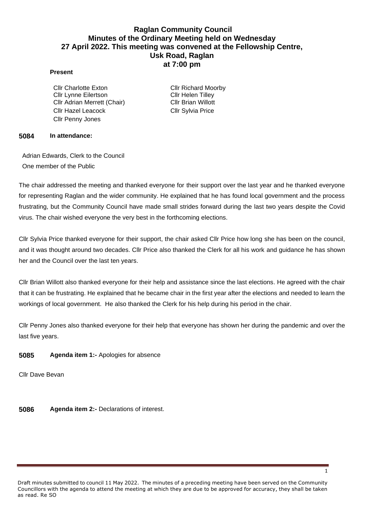# **Raglan Community Council Minutes of the Ordinary Meeting held on Wednesday 27 April 2022. This meeting was convened at the Fellowship Centre, Usk Road, Raglan at 7:00 pm**

#### **Present**

Cllr Charlotte Exton Cllr Richard Moorby Cllr Lynne Eilertson Cllr Helen Tillev Cllr Adrian Merrett (Chair) Cllr Brian Willott Cllr Hazel Leacock Cllr Sylvia Price Cllr Penny Jones

#### **5084 In attendance:**

Adrian Edwards, Clerk to the Council One member of the Public

The chair addressed the meeting and thanked everyone for their support over the last year and he thanked everyone for representing Raglan and the wider community. He explained that he has found local government and the process frustrating, but the Community Council have made small strides forward during the last two years despite the Covid virus. The chair wished everyone the very best in the forthcoming elections.

Cllr Sylvia Price thanked everyone for their support, the chair asked Cllr Price how long she has been on the council, and it was thought around two decades. Cllr Price also thanked the Clerk for all his work and guidance he has shown her and the Council over the last ten years.

Cllr Brian Willott also thanked everyone for their help and assistance since the last elections. He agreed with the chair that it can be frustrating. He explained that he became chair in the first year after the elections and needed to learn the workings of local government. He also thanked the Clerk for his help during his period in the chair.

Cllr Penny Jones also thanked everyone for their help that everyone has shown her during the pandemic and over the last five years.

### **5085 Agenda item 1:-** Apologies for absence

Cllr Dave Bevan

**5086 Agenda item 2:-** Declarations of interest.

1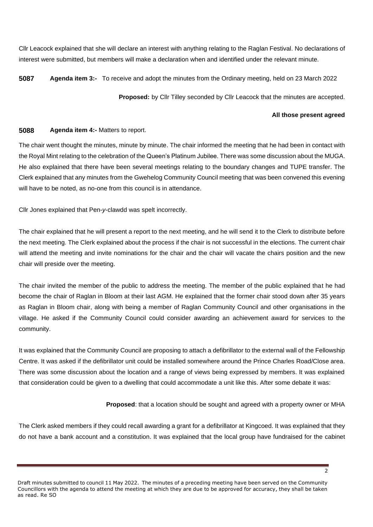Cllr Leacock explained that she will declare an interest with anything relating to the Raglan Festival. No declarations of interest were submitted, but members will make a declaration when and identified under the relevant minute.

**5087 Agenda item 3:-** To receive and adopt the minutes from the Ordinary meeting, held on 23 March 2022

**Proposed:** by Cllr Tilley seconded by Cllr Leacock that the minutes are accepted.

#### **All those present agreed**

### **5088 Agenda item 4:-** Matters to report.

The chair went thought the minutes, minute by minute. The chair informed the meeting that he had been in contact with the Royal Mint relating to the celebration of the Queen's Platinum Jubilee. There was some discussion about the MUGA. He also explained that there have been several meetings relating to the boundary changes and TUPE transfer. The Clerk explained that any minutes from the Gwehelog Community Council meeting that was been convened this evening will have to be noted, as no-one from this council is in attendance.

Cllr Jones explained that Pen-*y*-clawdd was spelt incorrectly.

The chair explained that he will present a report to the next meeting, and he will send it to the Clerk to distribute before the next meeting. The Clerk explained about the process if the chair is not successful in the elections. The current chair will attend the meeting and invite nominations for the chair and the chair will vacate the chairs position and the new chair will preside over the meeting.

The chair invited the member of the public to address the meeting. The member of the public explained that he had become the chair of Raglan in Bloom at their last AGM. He explained that the former chair stood down after 35 years as Raglan in Bloom chair, along with being a member of Raglan Community Council and other organisations in the village. He asked if the Community Council could consider awarding an achievement award for services to the community.

It was explained that the Community Council are proposing to attach a defibrillator to the external wall of the Fellowship Centre. It was asked if the defibrillator unit could be installed somewhere around the Prince Charles Road/Close area. There was some discussion about the location and a range of views being expressed by members. It was explained that consideration could be given to a dwelling that could accommodate a unit like this. After some debate it was:

**Proposed**: that a location should be sought and agreed with a property owner or MHA

The Clerk asked members if they could recall awarding a grant for a defibrillator at Kingcoed. It was explained that they do not have a bank account and a constitution. It was explained that the local group have fundraised for the cabinet

Draft minutes submitted to council 11 May 2022. The minutes of a preceding meeting have been served on the Community Councillors with the agenda to attend the meeting at which they are due to be approved for accuracy, they shall be taken as read. Re SO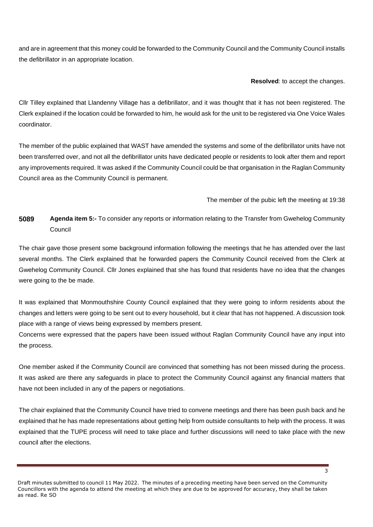and are in agreement that this money could be forwarded to the Community Council and the Community Council installs the defibrillator in an appropriate location.

### **Resolved**: to accept the changes.

Cllr Tilley explained that Llandenny Village has a defibrillator, and it was thought that it has not been registered. The Clerk explained if the location could be forwarded to him, he would ask for the unit to be registered via One Voice Wales coordinator.

The member of the public explained that WAST have amended the systems and some of the defibrillator units have not been transferred over, and not all the defibrillator units have dedicated people or residents to look after them and report any improvements required. It was asked if the Community Council could be that organisation in the Raglan Community Council area as the Community Council is permanent.

# The member of the pubic left the meeting at 19:38

# **5089 Agenda item 5:-** To consider any reports or information relating to the Transfer from Gwehelog Community Council

The chair gave those present some background information following the meetings that he has attended over the last several months. The Clerk explained that he forwarded papers the Community Council received from the Clerk at Gwehelog Community Council. Cllr Jones explained that she has found that residents have no idea that the changes were going to the be made.

It was explained that Monmouthshire County Council explained that they were going to inform residents about the changes and letters were going to be sent out to every household, but it clear that has not happened. A discussion took place with a range of views being expressed by members present.

Concerns were expressed that the papers have been issued without Raglan Community Council have any input into the process.

One member asked if the Community Council are convinced that something has not been missed during the process. It was asked are there any safeguards in place to protect the Community Council against any financial matters that have not been included in any of the papers or negotiations.

The chair explained that the Community Council have tried to convene meetings and there has been push back and he explained that he has made representations about getting help from outside consultants to help with the process. It was explained that the TUPE process will need to take place and further discussions will need to take place with the new council after the elections.

Draft minutes submitted to council 11 May 2022. The minutes of a preceding meeting have been served on the Community Councillors with the agenda to attend the meeting at which they are due to be approved for accuracy, they shall be taken as read. Re SO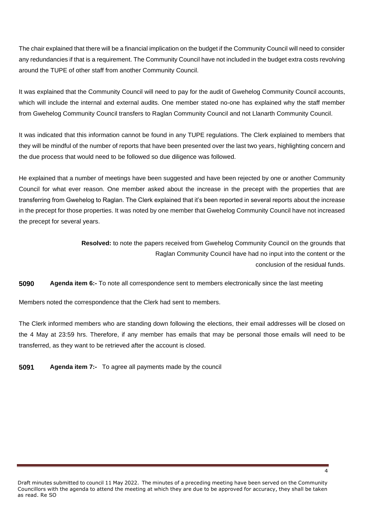The chair explained that there will be a financial implication on the budget if the Community Council will need to consider any redundancies if that is a requirement. The Community Council have not included in the budget extra costs revolving around the TUPE of other staff from another Community Council.

It was explained that the Community Council will need to pay for the audit of Gwehelog Community Council accounts, which will include the internal and external audits. One member stated no-one has explained why the staff member from Gwehelog Community Council transfers to Raglan Community Council and not Llanarth Community Council.

It was indicated that this information cannot be found in any TUPE regulations. The Clerk explained to members that they will be mindful of the number of reports that have been presented over the last two years, highlighting concern and the due process that would need to be followed so due diligence was followed.

He explained that a number of meetings have been suggested and have been rejected by one or another Community Council for what ever reason. One member asked about the increase in the precept with the properties that are transferring from Gwehelog to Raglan. The Clerk explained that it's been reported in several reports about the increase in the precept for those properties. It was noted by one member that Gwehelog Community Council have not increased the precept for several years.

> **Resolved:** to note the papers received from Gwehelog Community Council on the grounds that Raglan Community Council have had no input into the content or the conclusion of the residual funds.

**5090 Agenda item 6:-** To note all correspondence sent to members electronically since the last meeting

Members noted the correspondence that the Clerk had sent to members.

The Clerk informed members who are standing down following the elections, their email addresses will be closed on the 4 May at 23:59 hrs. Therefore, if any member has emails that may be personal those emails will need to be transferred, as they want to be retrieved after the account is closed.

**5091 Agenda item 7:-** To agree all payments made by the council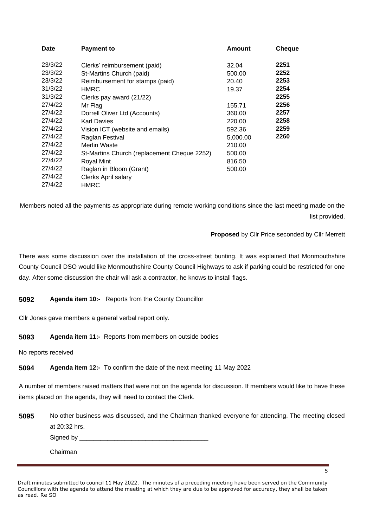| <b>Date</b> | <b>Payment to</b>                           | <b>Amount</b> | <b>Cheque</b> |
|-------------|---------------------------------------------|---------------|---------------|
| 23/3/22     | Clerks' reimbursement (paid)                | 32.04         | 2251          |
| 23/3/22     | St-Martins Church (paid)                    | 500.00        | 2252          |
| 23/3/22     | Reimbursement for stamps (paid)             | 20.40         | 2253          |
| 31/3/22     | HMRC                                        | 19.37         | 2254          |
| 31/3/22     | Clerks pay award (21/22)                    |               | 2255          |
| 27/4/22     | Mr Flag                                     | 155.71        | 2256          |
| 27/4/22     | Dorrell Oliver Ltd (Accounts)               | 360.00        | 2257          |
| 27/4/22     | <b>Karl Davies</b>                          | 220.00        | 2258          |
| 27/4/22     | Vision ICT (website and emails)             | 592.36        | 2259          |
| 27/4/22     | Raglan Festival                             | 5,000.00      | 2260          |
| 27/4/22     | Merlin Waste                                | 210.00        |               |
| 27/4/22     | St-Martins Church (replacement Cheque 2252) | 500.00        |               |
| 27/4/22     | Royal Mint                                  | 816.50        |               |
| 27/4/22     | Raglan in Bloom (Grant)                     | 500.00        |               |
| 27/4/22     | <b>Clerks April salary</b>                  |               |               |
| 27/4/22     | HMRC                                        |               |               |

Members noted all the payments as appropriate during remote working conditions since the last meeting made on the list provided.

# **Proposed** by Cllr Price seconded by Cllr Merrett

 $\overline{5}$ 

There was some discussion over the installation of the cross-street bunting. It was explained that Monmouthshire County Council DSO would like Monmouthshire County Council Highways to ask if parking could be restricted for one day. After some discussion the chair will ask a contractor, he knows to install flags.

**5092 Agenda item 10:-** Reports from the County Councillor

Cllr Jones gave members a general verbal report only.

**5093 Agenda item 11:-** Reports from members on outside bodies

No reports received

**5094 Agenda item 12:-** To confirm the date of the next meeting 11 May 2022

A number of members raised matters that were not on the agenda for discussion. If members would like to have these items placed on the agenda, they will need to contact the Clerk.

**5095** No other business was discussed, and the Chairman thanked everyone for attending. The meeting closed at 20:32 hrs. Signed by **Example 20** Chairman

Draft minutes submitted to council 11 May 2022. The minutes of a preceding meeting have been served on the Community Councillors with the agenda to attend the meeting at which they are due to be approved for accuracy, they shall be taken as read. Re SO